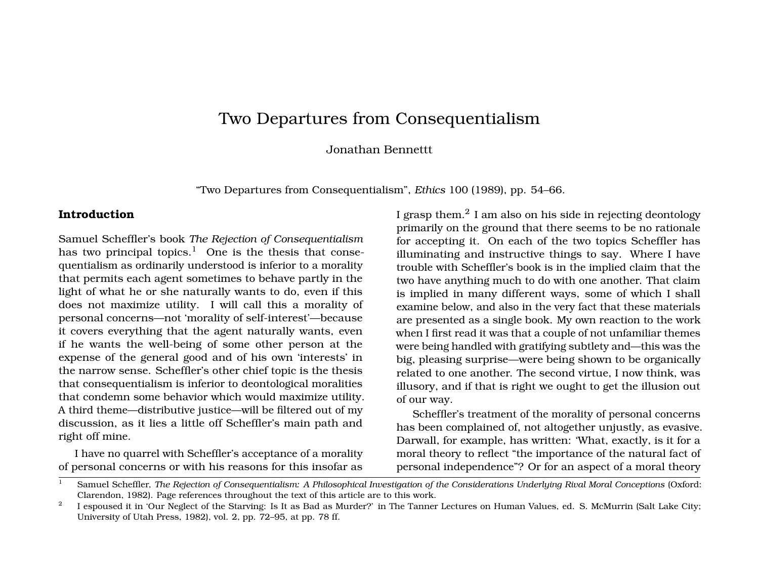# Two Departures from Consequentialism

Jonathan Bennettt

"Two Departures from Consequentialism", *Ethics* 100 (1989), pp. 54–66.

#### **Introduction**

Samuel Scheffler's book *The Rejection of Consequentialism* has two principal topics.<sup>1</sup> One is the thesis that consequentialism as ordinarily understood is inferior to a morality that permits each agent sometimes to behave partly in the light of what he or she naturally wants to do, even if this does not maximize utility. I will call this a morality of personal concerns—not 'morality of self-interest'—because it covers everything that the agent naturally wants, even if he wants the well-being of some other person at the expense of the general good and of his own 'interests' in the narrow sense. Scheffler's other chief topic is the thesis that consequentialism is inferior to deontological moralities that condemn some behavior which would maximize utility. A third theme—distributive justice—will be filtered out of my discussion, as it lies a little off Scheffler's main path and right off mine.

I have no quarrel with Scheffler's acceptance of a morality of personal concerns or with his reasons for this insofar as

I grasp them. $^2$  I am also on his side in rejecting deontology primarily on the ground that there seems to be no rationale for accepting it. On each of the two topics Scheffler has illuminating and instructive things to say. Where I have trouble with Scheffler's book is in the implied claim that the two have anything much to do with one another. That claim is implied in many different ways, some of which I shall examine below, and also in the very fact that these materials are presented as a single book. My own reaction to the work when I first read it was that a couple of not unfamiliar themes were being handled with gratifying subtlety and—this was the big, pleasing surprise—were being shown to be organically related to one another. The second virtue, I now think, was illusory, and if that is right we ought to get the illusion out of our way.

Scheffler's treatment of the morality of personal concerns has been complained of, not altogether unjustly, as evasive. Darwall, for example, has written: 'What, exactly, is it for a moral theory to reflect "the importance of the natural fact of personal independence"? Or for an aspect of a moral theory

<sup>1</sup> Samuel Scheffler, *The Rejection of Consequentialism: A Philosophical Investigation of the Considerations Underlying Rival Moral Conceptions* (Oxford: Clarendon, 1982). Page references throughout the text of this article are to this work.

<sup>2</sup> I espoused it in 'Our Neglect of the Starving: Is It as Bad as Murder?' in The Tanner Lectures on Human Values, ed. S. McMurrin (Salt Lake City; University of Utah Press, 1982), vol. 2, pp. 72–95, at pp. 78 ff.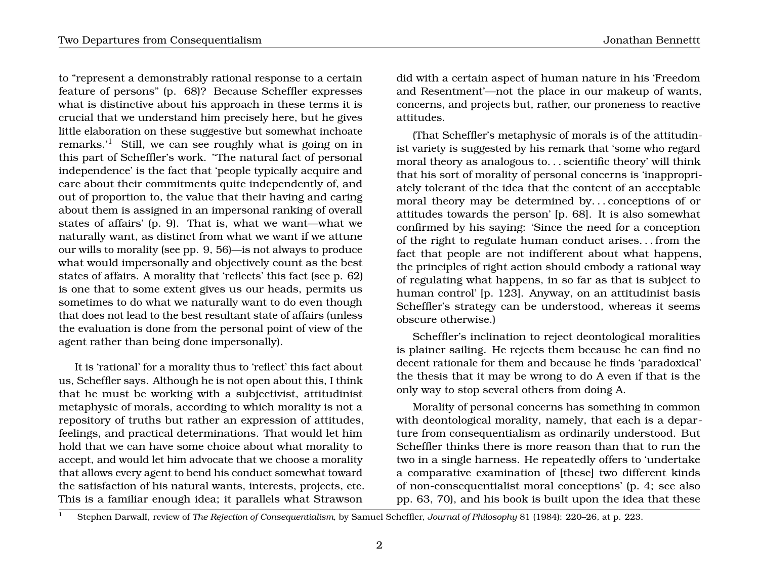to "represent a demonstrably rational response to a certain feature of persons" (p. 68)? Because Scheffler expresses what is distinctive about his approach in these terms it is crucial that we understand him precisely here, but he gives little elaboration on these suggestive but somewhat inchoate remarks.'<sup>1</sup> Still, we can see roughly what is going on in this part of Scheffler's work. ''The natural fact of personal independence' is the fact that 'people typically acquire and care about their commitments quite independently of, and out of proportion to, the value that their having and caring about them is assigned in an impersonal ranking of overall states of affairs' (p. 9). That is, what we want—what we naturally want, as distinct from what we want if we attune our wills to morality (see pp. 9, 56)—is not always to produce what would impersonally and objectively count as the best states of affairs. A morality that 'reflects' this fact (see p. 62) is one that to some extent gives us our heads, permits us sometimes to do what we naturally want to do even though that does not lead to the best resultant state of affairs (unless the evaluation is done from the personal point of view of the agent rather than being done impersonally).

It is 'rational' for a morality thus to 'reflect' this fact about us, Scheffler says. Although he is not open about this, I think that he must be working with a subjectivist, attitudinist metaphysic of morals, according to which morality is not a repository of truths but rather an expression of attitudes, feelings, and practical determinations. That would let him hold that we can have some choice about what morality to accept, and would let him advocate that we choose a morality that allows every agent to bend his conduct somewhat toward the satisfaction of his natural wants, interests, projects, ete. This is a familiar enough idea; it parallels what Strawson

did with a certain aspect of human nature in his 'Freedom and Resentment'—not the place in our makeup of wants, concerns, and projects but, rather, our proneness to reactive attitudes.

(That Scheffler's metaphysic of morals is of the attitudinist variety is suggested by his remark that 'some who regard moral theory as analogous to. . . scientific theory' will think that his sort of morality of personal concerns is 'inappropriately tolerant of the idea that the content of an acceptable moral theory may be determined by. . . conceptions of or attitudes towards the person' [p. 68]. It is also somewhat confirmed by his saying: 'Since the need for a conception of the right to regulate human conduct arises. . . from the fact that people are not indifferent about what happens, the principles of right action should embody a rational way of regulating what happens, in so far as that is subject to human control' [p. 123]. Anyway, on an attitudinist basis Scheffler's strategy can be understood, whereas it seems obscure otherwise.)

Scheffler's inclination to reject deontological moralities is plainer sailing. He rejects them because he can find no decent rationale for them and because he finds 'paradoxical' the thesis that it may be wrong to do A even if that is the only way to stop several others from doing A.

Morality of personal concerns has something in common with deontological morality, namely, that each is a departure from consequentialism as ordinarily understood. But Scheffler thinks there is more reason than that to run the two in a single harness. He repeatedly offers to 'undertake a comparative examination of [these] two different kinds of non-consequentialist moral conceptions' (p. 4; see also pp. 63, 70), and his book is built upon the idea that these

<sup>1</sup> Stephen DarwalI, review of *The Rejection of Consequentialism*, by Samuel Scheffler, *Journal of Philosophy* 81 (1984): 220–26, at p. 223.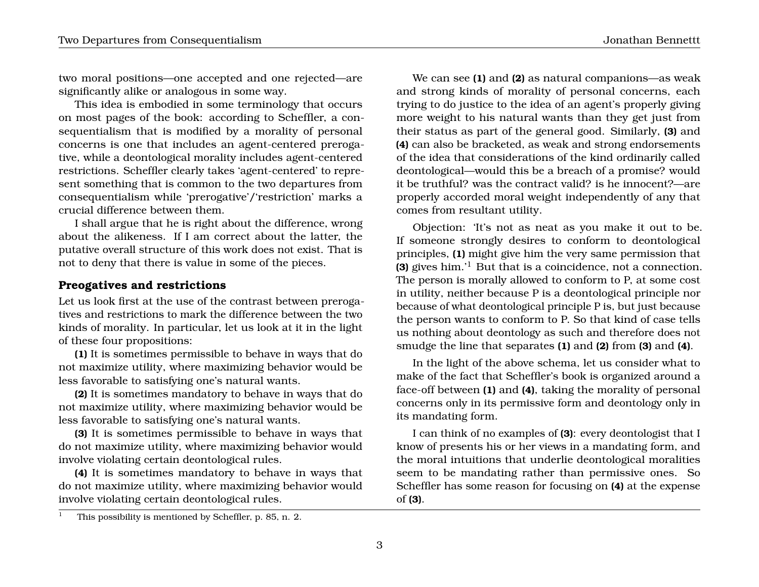two moral positions—one accepted and one rejected—are significantly alike or analogous in some way.

This idea is embodied in some terminology that occurs on most pages of the book: according to Scheffler, a consequentialism that is modified by a morality of personal concerns is one that includes an agent-centered prerogative, while a deontological morality includes agent-centered restrictions. Scheffler clearly takes 'agent-centered' to represent something that is common to the two departures from consequentialism while 'prerogative'/'restriction' marks a crucial difference between them.

I shall argue that he is right about the difference, wrong about the alikeness. If I am correct about the latter, the putative overall structure of this work does not exist. That is not to deny that there is value in some of the pieces.

#### **Preogatives and restrictions**

Let us look first at the use of the contrast between prerogatives and restrictions to mark the difference between the two kinds of morality. In particular, let us look at it in the light of these four propositions:

**(1)** It is sometimes permissible to behave in ways that do not maximize utility, where maximizing behavior would be less favorable to satisfying one's natural wants.

**(2)** It is sometimes mandatory to behave in ways that do not maximize utility, where maximizing behavior would be less favorable to satisfying one's natural wants.

**(3)** It is sometimes permissible to behave in ways that do not maximize utility, where maximizing behavior would involve violating certain deontological rules.

**(4)** It is sometimes mandatory to behave in ways that do not maximize utility, where maximizing behavior would involve violating certain deontological rules.

We can see **(1)** and **(2)** as natural companions—as weak and strong kinds of morality of personal concerns, each trying to do justice to the idea of an agent's properly giving more weight to his natural wants than they get just from their status as part of the general good. Similarly, **(3)** and **(4)** can also be bracketed, as weak and strong endorsements of the idea that considerations of the kind ordinarily called deontological—would this be a breach of a promise? would it be truthful? was the contract valid? is he innocent?—are properly accorded moral weight independently of any that comes from resultant utility.

Objection: 'It's not as neat as you make it out to be. If someone strongly desires to conform to deontological principles, **(1)** might give him the very same permission that **(3)** gives him.'<sup>1</sup> But that is a coincidence, not a connection. The person is morally allowed to conform to P, at some cost in utility, neither because P is a deontological principle nor because of what deontological principle P is, but just because the person wants to conform to P. So that kind of case tells us nothing about deontology as such and therefore does not smudge the line that separates **(1)** and **(2)** from **(3)** and **(4)**.

In the light of the above schema, let us consider what to make of the fact that Scheffler's book is organized around a face-off between **(1)** and **(4)**, taking the morality of personal concerns only in its permissive form and deontology only in its mandating form.

I can think of no examples of **(3)**: every deontologist that I know of presents his or her views in a mandating form, and the moral intuitions that underlie deontological moralities seem to be mandating rather than permissive ones. So Scheffler has some reason for focusing on **(4)** at the expense of **(3)**.

This possibility is mentioned by Scheffler, p. 85, n. 2.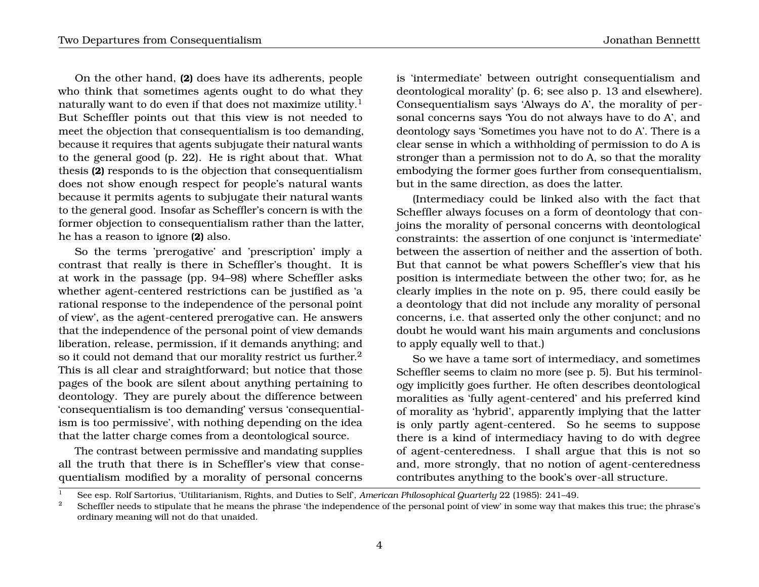On the other hand, **(2)** does have its adherents, people who think that sometimes agents ought to do what they naturally want to do even if that does not maximize utility.<sup>1</sup> But Scheffler points out that this view is not needed to meet the objection that consequentialism is too demanding, because it requires that agents subjugate their natural wants to the general good (p. 22). He is right about that. What thesis **(2)** responds to is the objection that consequentialism does not show enough respect for people's natural wants because it permits agents to subjugate their natural wants to the general good. Insofar as Scheffler's concern is with the former objection to consequentialism rather than the latter, he has a reason to ignore **(2)** also.

So the terms 'prerogative' and 'prescription' imply a contrast that really is there in Scheffler's thought. It is at work in the passage (pp. 94–98) where Scheffler asks whether agent-centered restrictions can be justified as 'a rational response to the independence of the personal point of view', as the agent-centered prerogative can. He answers that the independence of the personal point of view demands liberation, release, permission, if it demands anything; and so it could not demand that our morality restrict us further.<sup>2</sup> This is all clear and straightforward; but notice that those pages of the book are silent about anything pertaining to deontology. They are purely about the difference between 'consequentialism is too demanding' versus 'consequentialism is too permissive', with nothing depending on the idea that the latter charge comes from a deontological source.

The contrast between permissive and mandating supplies all the truth that there is in Scheffler's view that consequentialism modified by a morality of personal concerns

is 'intermediate' between outright consequentialism and deontological morality' (p. 6; see also p. 13 and elsewhere). Consequentialism says 'Always do A', the morality of personal concerns says 'You do not always have to do A', and deontology says 'Sometimes you have not to do A'. There is a clear sense in which a withholding of permission to do A is stronger than a permission not to do A, so that the morality embodying the former goes further from consequentialism, but in the same direction, as does the latter.

(Intermediacy could be linked also with the fact that Scheffler always focuses on a form of deontology that conjoins the morality of personal concerns with deontological constraints: the assertion of one conjunct is 'intermediate' between the assertion of neither and the assertion of both. But that cannot be what powers Scheffler's view that his position is intermediate between the other two; for, as he clearly implies in the note on p. 95, there could easily be a deontology that did not include any morality of personal concerns, i.e. that asserted only the other conjunct; and no doubt he would want his main arguments and conclusions to apply equally well to that.)

So we have a tame sort of intermediacy, and sometimes Scheffler seems to claim no more (see p. 5). But his terminology implicitly goes further. He often describes deontological moralities as 'fully agent-centered' and his preferred kind of morality as 'hybrid', apparently implying that the latter is only partly agent-centered. So he seems to suppose there is a kind of intermediacy having to do with degree of agent-centeredness. I shall argue that this is not so and, more strongly, that no notion of agent-centeredness contributes anything to the book's over-all structure.

<sup>1</sup> See esp. Rolf Sartorius, 'Utilitarianism, Rights, and Duties to Self', *American Philosophical Quarterly* 22 (1985): 241–49.

<sup>2</sup> Scheffler needs to stipulate that he means the phrase 'the independence of the personal point of view' in some way that makes this true; the phrase's ordinary meaning will not do that unaided.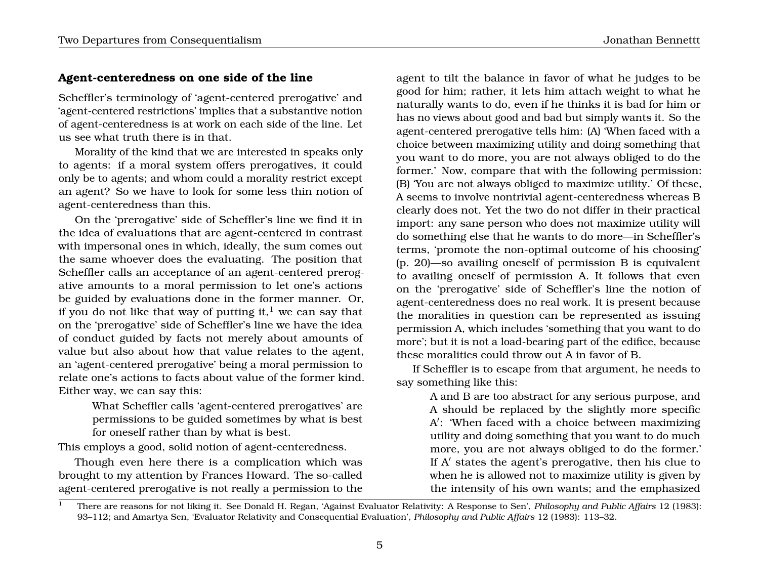### **Agent-centeredness on one side of the line**

Scheffler's terminology of 'agent-centered prerogative' and 'agent-centered restrictions' implies that a substantive notion of agent-centeredness is at work on each side of the line. Let us see what truth there is in that.

Morality of the kind that we are interested in speaks only to agents: if a moral system offers prerogatives, it could only be to agents; and whom could a morality restrict except an agent? So we have to look for some less thin notion of agent-centeredness than this.

On the 'prerogative' side of Scheffler's line we find it in the idea of evaluations that are agent-centered in contrast with impersonal ones in which, ideally, the sum comes out the same whoever does the evaluating. The position that Scheffler calls an acceptance of an agent-centered prerogative amounts to a moral permission to let one's actions be guided by evaluations done in the former manner. Or, if you do not like that way of putting it,<sup>1</sup> we can say that on the 'prerogative' side of Scheffler's line we have the idea of conduct guided by facts not merely about amounts of value but also about how that value relates to the agent, an 'agent-centered prerogative' being a moral permission to relate one's actions to facts about value of the former kind. Either way, we can say this:

> What Scheffler calls 'agent-centered prerogatives' are permissions to be guided sometimes by what is best for oneself rather than by what is best.

This employs a good, solid notion of agent-centeredness.

Though even here there is a complication which was brought to my attention by Frances Howard. The so-called agent-centered prerogative is not really a permission to the

agent to tilt the balance in favor of what he judges to be good for him; rather, it lets him attach weight to what he naturally wants to do, even if he thinks it is bad for him or has no views about good and bad but simply wants it. So the agent-centered prerogative tells him: (A) 'When faced with a choice between maximizing utility and doing something that you want to do more, you are not always obliged to do the former.' Now, compare that with the following permission: (B) 'You are not always obliged to maximize utility.' Of these, A seems to involve nontrivial agent-centeredness whereas B clearly does not. Yet the two do not differ in their practical import: any sane person who does not maximize utility will do something else that he wants to do more—in Scheffler's terms, 'promote the non-optimal outcome of his choosing' (p. 20)—so availing oneself of permission B is equivalent to availing oneself of permission A. It follows that even on the 'prerogative' side of Scheffler's line the notion of agent-centeredness does no real work. It is present because the moralities in question can be represented as issuing permission A, which includes 'something that you want to do more'; but it is not a load-bearing part of the edifice, because these moralities could throw out A in favor of B.

If Scheffler is to escape from that argument, he needs to say something like this:

> A and B are too abstract for any serious purpose, and A should be replaced by the slightly more specific A 0 : 'When faced with a choice between maximizing utility and doing something that you want to do much more, you are not always obliged to do the former.' If  $A'$  states the agent's prerogative, then his clue to when he is allowed not to maximize utility is given by the intensity of his own wants; and the emphasized

<sup>1</sup> There are reasons for not liking it. See Donald H. Regan, 'Against Evaluator Relativity: A Response to Sen', *Philosophy and Public Affairs* 12 (1983): 93–112; and Amartya Sen, 'Evaluator Relativity and Consequential Evaluation', *Philosophy and Public Affairs* 12 (1983): 113–32.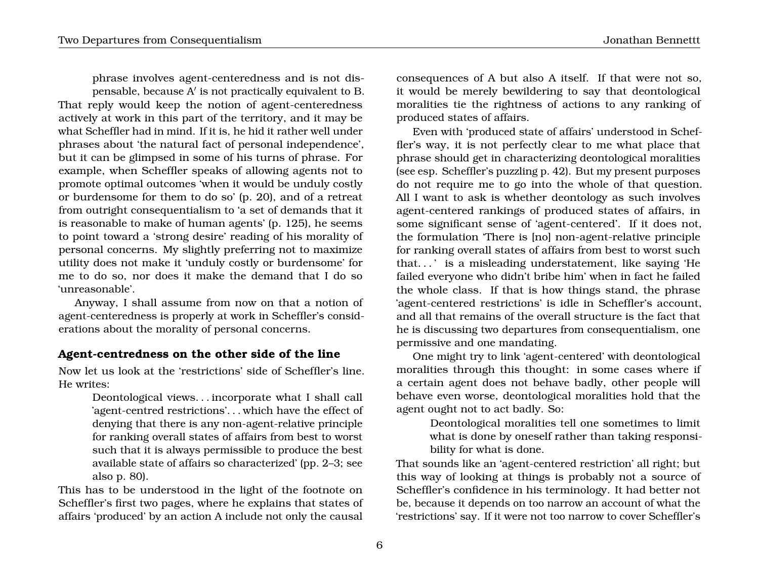phrase involves agent-centeredness and is not dis-

pensable, because A' is not practically equivalent to B. That reply would keep the notion of agent-centeredness actively at work in this part of the territory, and it may be what Scheffler had in mind. If it is, he hid it rather well under phrases about 'the natural fact of personal independence', but it can be glimpsed in some of his turns of phrase. For example, when Scheffler speaks of allowing agents not to promote optimal outcomes 'when it would be unduly costly or burdensome for them to do so' (p. 20), and of a retreat from outright consequentialism to 'a set of demands that it is reasonable to make of human agents' (p. 125), he seems to point toward a 'strong desire' reading of his morality of personal concerns. My slightly preferring not to maximize utility does not make it 'unduly costly or burdensome' for me to do so, nor does it make the demand that I do so 'unreasonable'.

Anyway, I shall assume from now on that a notion of agent-centeredness is properly at work in Scheffler's considerations about the morality of personal concerns.

### **Agent-centredness on the other side of the line**

Now let us look at the 'restrictions' side of Scheffler's line. He writes:

> Deontological views. . . incorporate what I shall call 'agent-centred restrictions'. . . which have the effect of denying that there is any non-agent-relative principle for ranking overall states of affairs from best to worst such that it is always permissible to produce the best available state of affairs so characterized' (pp. 2–3; see also p. 80).

This has to be understood in the light of the footnote on Scheffler's first two pages, where he explains that states of affairs 'produced' by an action A include not only the causal

consequences of A but also A itself. If that were not so, it would be merely bewildering to say that deontological moralities tie the rightness of actions to any ranking of produced states of affairs.

Even with 'produced state of affairs' understood in Scheffler's way, it is not perfectly clear to me what place that phrase should get in characterizing deontological moralities (see esp. Scheffler's puzzling p. 42). But my present purposes do not require me to go into the whole of that question. All I want to ask is whether deontology as such involves agent-centered rankings of produced states of affairs, in some significant sense of 'agent-centered'. If it does not, the formulation 'There is [no] non-agent-relative principle for ranking overall states of affairs from best to worst such that. . . ' is a misleading understatement, like saying 'He failed everyone who didn't bribe him' when in fact he failed the whole class. If that is how things stand, the phrase 'agent-centered restrictions' is idle in Scheffler's account, and all that remains of the overall structure is the fact that he is discussing two departures from consequentialism, one permissive and one mandating.

One might try to link 'agent-centered' with deontological moralities through this thought: in some cases where if a certain agent does not behave badly, other people will behave even worse, deontological moralities hold that the agent ought not to act badly. So:

> Deontological moralities tell one sometimes to limit what is done by oneself rather than taking responsibility for what is done.

That sounds like an 'agent-centered restriction' all right; but this way of looking at things is probably not a source of Scheffler's confidence in his terminology. It had better not be, because it depends on too narrow an account of what the 'restrictions' say. If it were not too narrow to cover Scheffler's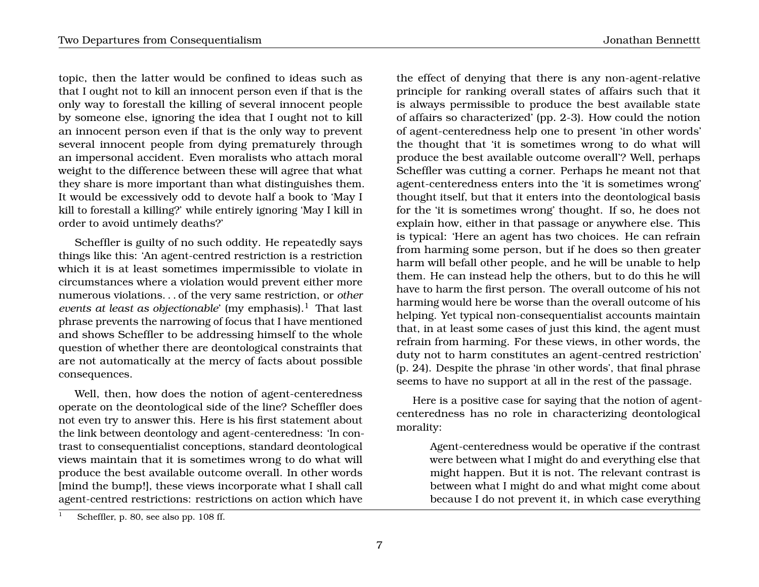topic, then the latter would be confined to ideas such as that I ought not to kill an innocent person even if that is the only way to forestall the killing of several innocent people by someone else, ignoring the idea that I ought not to kill an innocent person even if that is the only way to prevent several innocent people from dying prematurely through an impersonal accident. Even moralists who attach moral weight to the difference between these will agree that what they share is more important than what distinguishes them.

It would be excessively odd to devote half a book to 'May I kill to forestall a killing?' while entirely ignoring 'May I kill in order to avoid untimely deaths?'

Scheffler is guilty of no such oddity. He repeatedly says things like this: 'An agent-centred restriction is a restriction which it is at least sometimes impermissible to violate in circumstances where a violation would prevent either more numerous violations. . . of the very same restriction, or *other events at least as objectionable'* (my emphasis).<sup>1</sup> That last phrase prevents the narrowing of focus that I have mentioned and shows Scheffler to be addressing himself to the whole question of whether there are deontological constraints that are not automatically at the mercy of facts about possible consequences.

Well, then, how does the notion of agent-centeredness operate on the deontological side of the line? Scheffler does not even try to answer this. Here is his first statement about the link between deontology and agent-centeredness: 'In contrast to consequentialist conceptions, standard deontological views maintain that it is sometimes wrong to do what will produce the best available outcome overall. In other words [mind the bump!], these views incorporate what I shall call agent-centred restrictions: restrictions on action which have

the effect of denying that there is any non-agent-relative principle for ranking overall states of affairs such that it is always permissible to produce the best available state of affairs so characterized' (pp. 2-3). How could the notion of agent-centeredness help one to present 'in other words' the thought that 'it is sometimes wrong to do what will produce the best available outcome overall'? Well, perhaps Scheffler was cutting a corner. Perhaps he meant not that agent-centeredness enters into the 'it is sometimes wrong' thought itself, but that it enters into the deontological basis for the 'it is sometimes wrong' thought. If so, he does not explain how, either in that passage or anywhere else. This is typical: 'Here an agent has two choices. He can refrain from harming some person, but if he does so then greater harm will befall other people, and he will be unable to help them. He can instead help the others, but to do this he will have to harm the first person. The overall outcome of his not harming would here be worse than the overall outcome of his helping. Yet typical non-consequentialist accounts maintain that, in at least some cases of just this kind, the agent must refrain from harming. For these views, in other words, the duty not to harm constitutes an agent-centred restriction' (p. 24). Despite the phrase 'in other words', that final phrase seems to have no support at all in the rest of the passage.

Here is a positive case for saying that the notion of agentcenteredness has no role in characterizing deontological morality:

> Agent-centeredness would be operative if the contrast were between what I might do and everything else that might happen. But it is not. The relevant contrast is between what I might do and what might come about because I do not prevent it, in which case everything

Scheffler, p. 80, see also pp. 108 ff.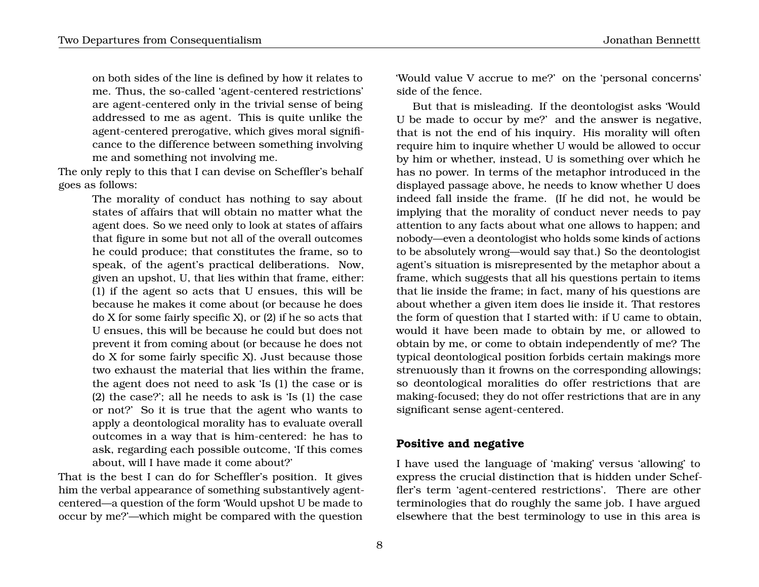on both sides of the line is defined by how it relates to me. Thus, the so-called 'agent-centered restrictions' are agent-centered only in the trivial sense of being addressed to me as agent. This is quite unlike the agent-centered prerogative, which gives moral significance to the difference between something involving me and something not involving me.

The only reply to this that I can devise on Scheffler's behalf goes as follows:

> The morality of conduct has nothing to say about states of affairs that will obtain no matter what the agent does. So we need only to look at states of affairs that figure in some but not all of the overall outcomes he could produce; that constitutes the frame, so to speak, of the agent's practical deliberations. Now, given an upshot, U, that lies within that frame, either: (1) if the agent so acts that U ensues, this will be because he makes it come about (or because he does do X for some fairly specific X), or (2) if he so acts that U ensues, this will be because he could but does not prevent it from coming about (or because he does not do X for some fairly specific X). Just because those two exhaust the material that lies within the frame, the agent does not need to ask 'Is (1) the case or is (2) the case?'; all he needs to ask is 'Is (1) the case or not?' So it is true that the agent who wants to apply a deontological morality has to evaluate overall outcomes in a way that is him-centered: he has to ask, regarding each possible outcome, 'If this comes about, will I have made it come about?'

That is the best I can do for Scheffler's position. It gives him the verbal appearance of something substantively agentcentered—a question of the form 'Would upshot U be made to occur by me?'—which might be compared with the question 'Would value V accrue to me?' on the 'personal concerns' side of the fence.

But that is misleading. If the deontologist asks 'Would U be made to occur by me?' and the answer is negative, that is not the end of his inquiry. His morality will often require him to inquire whether U would be allowed to occur by him or whether, instead, U is something over which he has no power. In terms of the metaphor introduced in the displayed passage above, he needs to know whether U does indeed fall inside the frame. (If he did not, he would be implying that the morality of conduct never needs to pay attention to any facts about what one allows to happen; and nobody—even a deontologist who holds some kinds of actions to be absolutely wrong—would say that.) So the deontologist agent's situation is misrepresented by the metaphor about a frame, which suggests that all his questions pertain to items that lie inside the frame; in fact, many of his questions are about whether a given item does lie inside it. That restores the form of question that I started with: if U came to obtain, would it have been made to obtain by me, or allowed to obtain by me, or come to obtain independently of me? The typical deontological position forbids certain makings more strenuously than it frowns on the corresponding allowings; so deontological moralities do offer restrictions that are making-focused; they do not offer restrictions that are in any significant sense agent-centered.

# **Positive and negative**

I have used the language of 'making' versus 'allowing' to express the crucial distinction that is hidden under Scheffler's term 'agent-centered restrictions'. There are other terminologies that do roughly the same job. I have argued elsewhere that the best terminology to use in this area is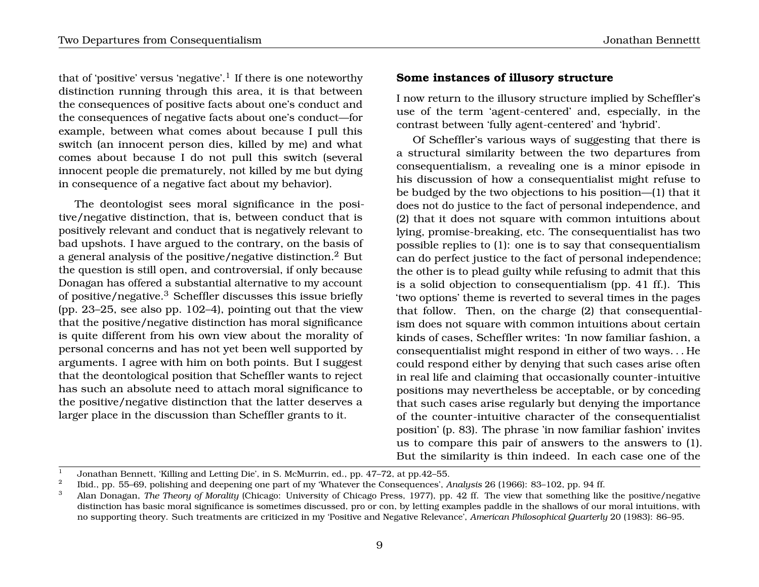that of 'positive' versus 'negative'. $^{\rm l}$  If there is one noteworthy distinction running through this area, it is that between the consequences of positive facts about one's conduct and the consequences of negative facts about one's conduct—for example, between what comes about because I pull this switch (an innocent person dies, killed by me) and what comes about because I do not pull this switch (several innocent people die prematurely, not killed by me but dying in consequence of a negative fact about my behavior).

The deontologist sees moral significance in the positive/negative distinction, that is, between conduct that is positively relevant and conduct that is negatively relevant to bad upshots. I have argued to the contrary, on the basis of a general analysis of the positive/negative distinction.<sup>2</sup> But the question is still open, and controversial, if only because Donagan has offered a substantial alternative to my account of positive/negative.<sup>3</sup> Scheffler discusses this issue briefly (pp. 23–25, see also pp. 102–4), pointing out that the view that the positive/negative distinction has moral significance is quite different from his own view about the morality of personal concerns and has not yet been well supported by arguments. I agree with him on both points. But I suggest that the deontological position that Scheffler wants to reject has such an absolute need to attach moral significance to the positive/negative distinction that the latter deserves a larger place in the discussion than Scheffler grants to it.

# **Some instances of illusory structure**

I now return to the illusory structure implied by Scheffler's use of the term 'agent-centered' and, especially, in the contrast between 'fully agent-centered' and 'hybrid'.

Of Scheffler's various ways of suggesting that there is a structural similarity between the two departures from consequentialism, a revealing one is a minor episode in his discussion of how a consequentialist might refuse to be budged by the two objections to his position—(1) that it does not do justice to the fact of personal independence, and (2) that it does not square with common intuitions about lying, promise-breaking, etc. The consequentialist has two possible replies to (1): one is to say that consequentialism can do perfect justice to the fact of personal independence; the other is to plead guilty while refusing to admit that this is a solid objection to consequentialism (pp. 41 ff.). This 'two options' theme is reverted to several times in the pages that follow. Then, on the charge (2) that consequentialism does not square with common intuitions about certain kinds of cases, Scheffler writes: 'In now familiar fashion, a consequentialist might respond in either of two ways. . . He could respond either by denying that such cases arise often in real life and claiming that occasionally counter-intuitive positions may nevertheless be acceptable, or by conceding that such cases arise regularly but denying the importance of the counter-intuitive character of the consequentialist position' (p. 83). The phrase 'in now familiar fashion' invites us to compare this pair of answers to the answers to (1). But the similarity is thin indeed. In each case one of the

<sup>1</sup> Jonathan Bennett, 'Killing and Letting Die', in S. McMurrin, ed., pp. 47–72, at pp.42–55.

 $\overline{2}$ Ibid., pp. 55–69, polishing and deepening one part of my 'Whatever the Consequences', *Analysis* 26 (1966): 83–102, pp. 94 ff.

<sup>3</sup> Alan Donagan, *The Theory of Morality* (Chicago: University of Chicago Press, 1977), pp. 42 ff. The view that something like the positive/negative distinction has basic moral significance is sometimes discussed, pro or con, by letting examples paddle in the shallows of our moral intuitions, with no supporting theory. Such treatments are criticized in my 'Positive and Negative Relevance', *American Philosophical Quarterly* 20 (1983): 86–95.